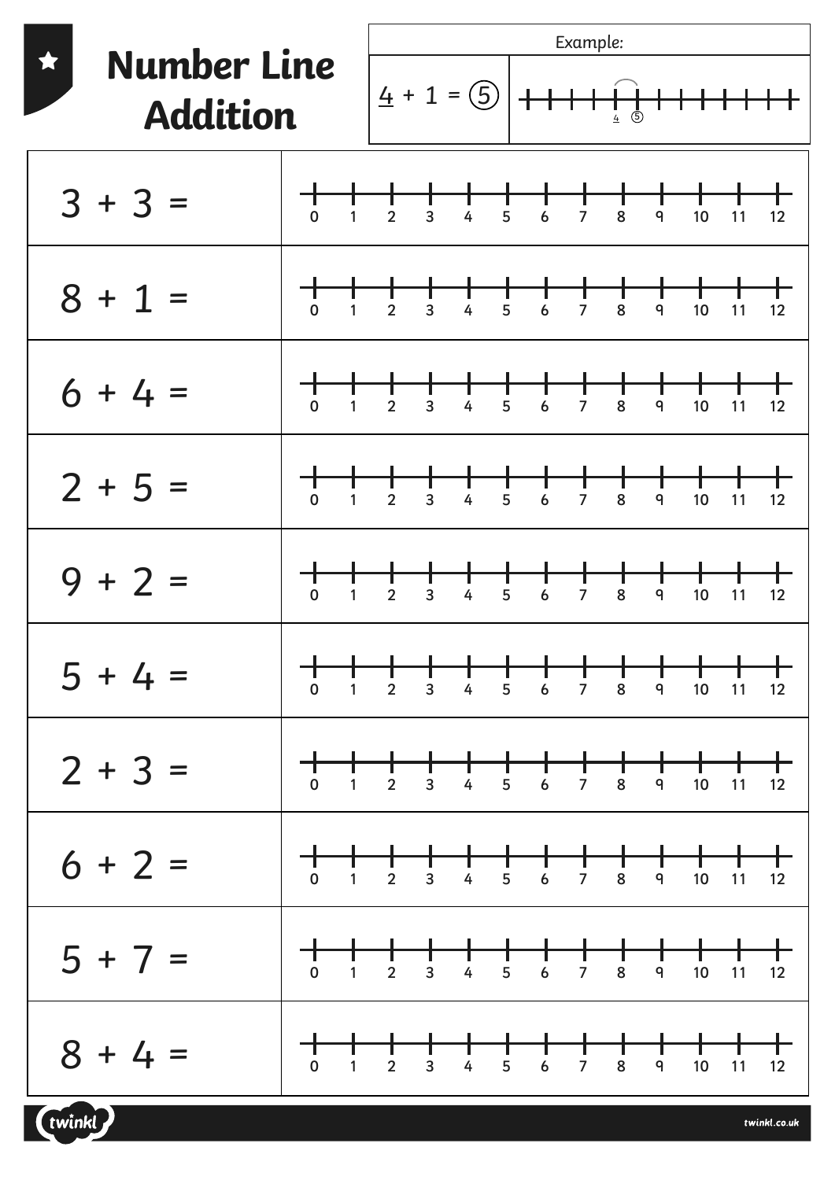| <b>Number Line</b><br><b>Addition</b> |                                                                                                                                             | Example:       |                |                                         |               |                              |                     |                                      |            |         |    |         |
|---------------------------------------|---------------------------------------------------------------------------------------------------------------------------------------------|----------------|----------------|-----------------------------------------|---------------|------------------------------|---------------------|--------------------------------------|------------|---------|----|---------|
|                                       |                                                                                                                                             |                |                | $4 + 1 = 5$                             |               |                              |                     | $\bar{\mathbb{G}}$<br>$\overline{4}$ |            |         |    |         |
| $3 + 3 =$                             | す。<br>$\mathbf{1}$                                                                                                                          | $\overline{2}$ | $\overline{3}$ | 4                                       | 5             | 6                            | $\overline{7}$      | 8                                    | 9          | 10      | 11 | 12      |
| $8 + 1 =$                             | 丁<br>0<br>$\mathbf{1}$                                                                                                                      | $\overline{2}$ | 3              | 4                                       | 5             | 6                            | $\overline{7}$      | 8                                    | 9          | 10      | 11 | 12      |
| $6 + 4 =$                             | 丁。<br>$\mathbf{1}$                                                                                                                          | $\overline{2}$ | 3              | 4                                       | 5             | 6                            | $\overline{7}$      | 8                                    | 9          | 10      | 11 | 12      |
| $2 + 5 =$                             | $\overline{0}$<br>$\mathbf{1}$                                                                                                              | $\overline{2}$ | 3              | 4                                       | 5             | 6                            | $\overline{7}$      | 8                                    | 9          | 10      | 11 | 12      |
| $9 + 2 =$                             | $\overline{0}$<br>1                                                                                                                         | $\overline{2}$ | 3              | 4                                       | 5             | 6                            | 7                   | 8                                    | 9          | 10      | 11 | 12      |
| $5 + 4 =$                             | $\begin{array}{c}\n\uparrow \\ \uparrow\n\end{array}$<br>$\mathbf{T}$<br>$\mathbf 0$                                                        | $\frac{1}{2}$  | $\frac{1}{3}$  | $\begin{array}{c}\n\hline\n\end{array}$ | $\frac{1}{5}$ | $\overline{6}$               | 十<br>7              | 8                                    | 9          | 10      | 11 | 12      |
| $2 + 3 =$                             |                                                                                                                                             |                |                |                                         | 5             | ┽╾┽╾┽╾┽╾<br>$\boldsymbol{6}$ | $\overline{7}$      | 8                                    | $\pm$<br>9 | ┿<br>10 | 11 | ┾<br>12 |
| $6 + 2 =$                             | $\begin{array}{c c c c c} \hline \quad & \quad & \quad & \quad \quad & \quad \quad \\ \hline 0 & 1 & 2 & \quad \quad \\ \hline \end{array}$ |                |                |                                         |               |                              |                     |                                      | 9          | 10      | 11 | 12      |
| $5 + 7 =$                             | $\begin{tabular}{c} + & + & \end{tabular}$<br>$\mathbf{1}$<br>$\mathbf 0$                                                                   | $\overline{2}$ | $\overline{3}$ | $\overline{4}$                          | 5             | $\boldsymbol{6}$             | ╈<br>$\overline{7}$ | $\mathbf +$<br>8                     | 9          | 10      | 11 | 12      |
| $8 + 4 =$                             | ┱<br>$\mathbf 0$<br>$\mathbf{1}$                                                                                                            | $\overline{2}$ | $\overline{3}$ | $\overline{4}$                          | 5             | $\boldsymbol{6}$             | $\overline{7}$      | 8                                    | 9          | 10      | 11 | 12      |

(twinkl)